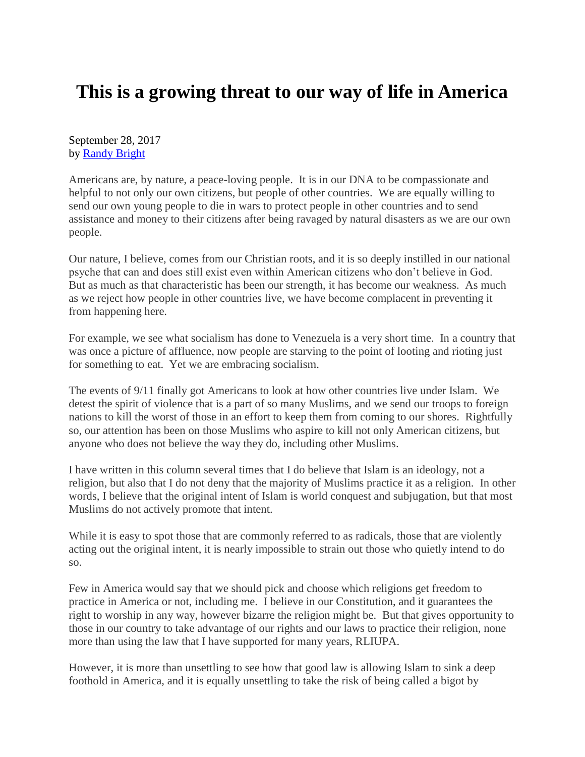## **This is a growing threat to our way of life in America**

September 28, 2017 by [Randy Bright](http://tulsabeacon.com/writers/randy-bright/)

Americans are, by nature, a peace-loving people. It is in our DNA to be compassionate and helpful to not only our own citizens, but people of other countries. We are equally willing to send our own young people to die in wars to protect people in other countries and to send assistance and money to their citizens after being ravaged by natural disasters as we are our own people.

Our nature, I believe, comes from our Christian roots, and it is so deeply instilled in our national psyche that can and does still exist even within American citizens who don't believe in God. But as much as that characteristic has been our strength, it has become our weakness. As much as we reject how people in other countries live, we have become complacent in preventing it from happening here.

For example, we see what socialism has done to Venezuela is a very short time. In a country that was once a picture of affluence, now people are starving to the point of looting and rioting just for something to eat. Yet we are embracing socialism.

The events of 9/11 finally got Americans to look at how other countries live under Islam. We detest the spirit of violence that is a part of so many Muslims, and we send our troops to foreign nations to kill the worst of those in an effort to keep them from coming to our shores. Rightfully so, our attention has been on those Muslims who aspire to kill not only American citizens, but anyone who does not believe the way they do, including other Muslims.

I have written in this column several times that I do believe that Islam is an ideology, not a religion, but also that I do not deny that the majority of Muslims practice it as a religion. In other words, I believe that the original intent of Islam is world conquest and subjugation, but that most Muslims do not actively promote that intent.

While it is easy to spot those that are commonly referred to as radicals, those that are violently acting out the original intent, it is nearly impossible to strain out those who quietly intend to do so.

Few in America would say that we should pick and choose which religions get freedom to practice in America or not, including me. I believe in our Constitution, and it guarantees the right to worship in any way, however bizarre the religion might be. But that gives opportunity to those in our country to take advantage of our rights and our laws to practice their religion, none more than using the law that I have supported for many years, RLIUPA.

However, it is more than unsettling to see how that good law is allowing Islam to sink a deep foothold in America, and it is equally unsettling to take the risk of being called a bigot by